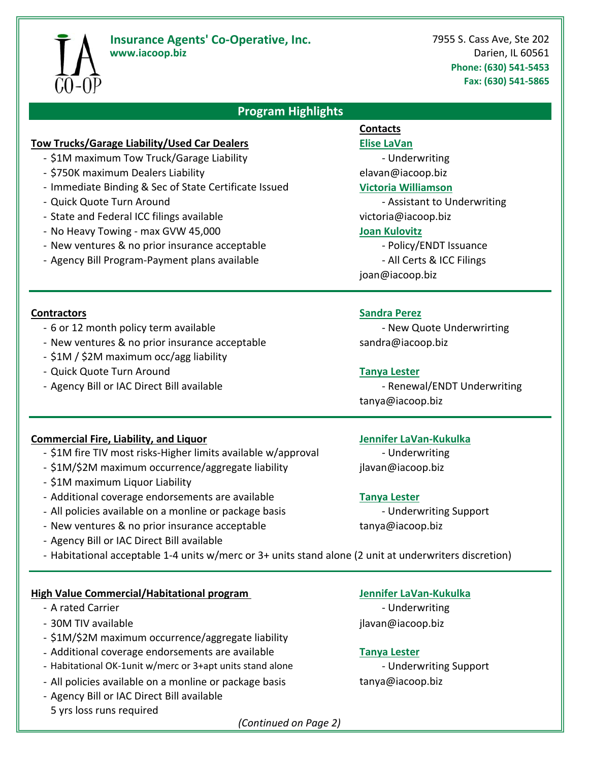

# **Insurance Agents' Co-Operative, Inc.** 7955 S. Cass Ave, Ste 202

**www.iacoop.biz** Darien, IL 60561 **Phone: (630) 541‐5453 Fax: (630) 541‐5865**

# **Program Highlights**

### **Tow Trucks/Garage Liability/Used Car Dealers Elise LaVan**

- \$1M maximum Tow Truck/Garage Liability **Fig. 2018** Underwriting
- ‐ \$750K maximum Dealers Liability elavan@iacoop.biz
- ‐ Immediate Binding & Sec of State Certificate Issued **Victoria Williamson**
- 
- State and Federal ICC filings available victoria@iacoop.biz
- ‐ No Heavy Towing ‐ max GVW 45,000 **Joan Kulovitz**
- New ventures & no prior insurance acceptable **EXACC 10 CONDUM** Policy/ENDT Issuance
- Agency Bill Program-Payment plans available **Example 20** All Certs & ICC Filings

- 6 or 12 month policy term available **EXEC 12** month policy term available
- New ventures & no prior insurance acceptable sandra@iacoop.biz
- ‐ \$1M / \$2M maximum occ/agg liability
- ‐ Quick Quote Turn Around **Tanya Lester**
- Agency Bill or IAC Direct Bill available **Entitled State Control** Renewal/ENDT Underwriting

# **Commercial Fire, Liability, and Liquor Jennifer LaVan‐Kukulka**

- \$1M fire TIV most risks-Higher limits available w/approval **Fig. 1.4 The 19th** Underwriting
- \$1M/\$2M maximum occurrence/aggregate liability ilavan@iacoop.biz
- ‐ \$1M maximum Liquor Liability
- ‐ Additional coverage endorsements are available **Tanya Lester**
- All policies available on a monline or package basis **Example 2** Underwriting Support
- New ventures & no prior insurance acceptable tanya@iacoop.biz
- ‐ Agency Bill or IAC Direct Bill available
- ‐ Habitational acceptable 1‐4 units w/merc or 3+ units stand alone (2 unit at underwriters discretion)

# **High Value Commercial/Habitational program Jennifer LaVan‐Kukulka**

- 
- 30M TIV available javane ja valttuurine ja valttuurine ja valttuurine ja valttuurine ja valttuurine ja valttuurine j
- ‐ \$1M/\$2M maximum occurrence/aggregate liability
- ‐ Additional coverage endorsements are available **Tanya Lester**
- Habitational OK-1unit w/merc or 3+apt units stand alone **Fig. 10 Component 12** Underwriting Support
- All policies available on a monline or package basis tanya@iacoop.biz
- ‐ Agency Bill or IAC Direct Bill available 5 yrs loss runs required

# **Contacts**

- Quick Quote Turn Around **Figure 1.1 Assistant to Underwriting** 

- 
- 
- joan@iacoop.biz

## **Contractors Sandra Perez**

tanya@iacoop.biz

- A rated Carrier **Figure 2018 Figure 2018 Figure 2018 Figure 2018 Figure 2018 Figure 2018 Figure 2018** 

*(Continued on Page 2)*